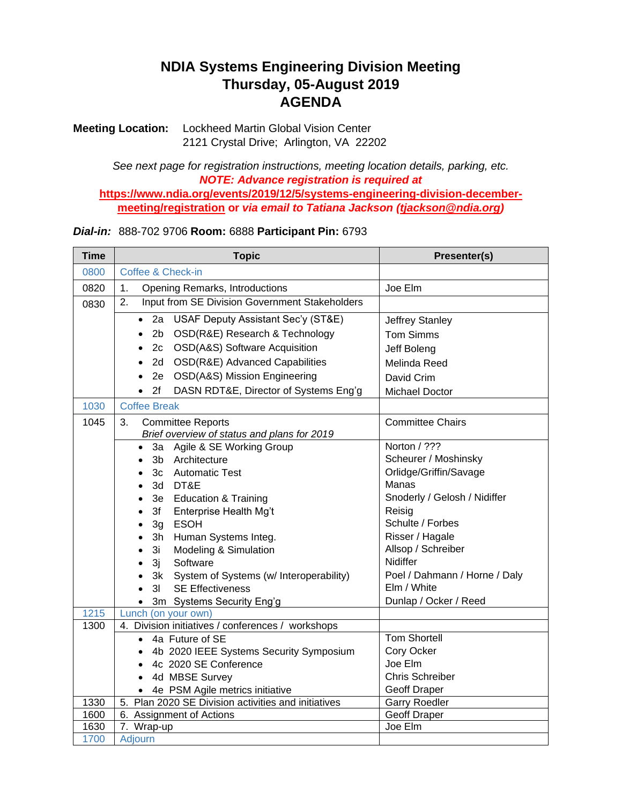## **NDIA Systems Engineering Division Meeting Thursday, 05-August 2019 AGENDA**

**Meeting Location:** Lockheed Martin Global Vision Center 2121 Crystal Drive; Arlington, VA 22202

*See next page for registration instructions, meeting location details, parking, etc. NOTE: Advance registration is required at*  **[https://www.ndia.org/events/2019/12/5/systems-engineering-division-december](https://www.ndia.org/events/2019/12/5/systems-engineering-division-december-meeting/registration)[meeting/registration](https://www.ndia.org/events/2019/12/5/systems-engineering-division-december-meeting/registration) or** *via email to Tatiana Jackson (tjackson@ndia.org)*

## *Dial-in:*888-702 9706 **Room:** 6888 **Participant Pin:** 6793

| <b>Time</b> | <b>Topic</b>                                                  | Presenter(s)                  |
|-------------|---------------------------------------------------------------|-------------------------------|
| 0800        | Coffee & Check-in                                             |                               |
| 0820        | 1.<br><b>Opening Remarks, Introductions</b>                   | Joe Elm                       |
| 0830        | Input from SE Division Government Stakeholders<br>2.          |                               |
|             | USAF Deputy Assistant Sec'y (ST&E)<br>2a<br>$\bullet$         | Jeffrey Stanley               |
|             | OSD(R&E) Research & Technology<br>2 <sub>b</sub><br>$\bullet$ | <b>Tom Simms</b>              |
|             | OSD(A&S) Software Acquisition<br>2c<br>$\bullet$              | Jeff Boleng                   |
|             | OSD(R&E) Advanced Capabilities<br>2d.<br>$\bullet$            | Melinda Reed                  |
|             | OSD(A&S) Mission Engineering<br>2e<br>$\bullet$               | David Crim                    |
|             | 2f<br>DASN RDT&E, Director of Systems Eng'g<br>$\bullet$      | Michael Doctor                |
| 1030        | <b>Coffee Break</b>                                           |                               |
| 1045        | 3.<br><b>Committee Reports</b>                                | <b>Committee Chairs</b>       |
|             | Brief overview of status and plans for 2019                   |                               |
|             | Agile & SE Working Group<br>За<br>$\bullet$                   | Norton / ???                  |
|             | Architecture<br>3 <sub>b</sub>                                | Scheurer / Moshinsky          |
|             | 3c Automatic Test                                             | Orlidge/Griffin/Savage        |
|             | 3d DT&E<br>$\bullet$                                          | Manas                         |
|             | 3e Education & Training<br>$\bullet$                          | Snoderly / Gelosh / Nidiffer  |
|             | 3f<br>Enterprise Health Mg't<br>$\bullet$                     | Reisig                        |
|             | <b>ESOH</b><br>3g<br>$\bullet$                                | Schulte / Forbes              |
|             | 3h<br>Human Systems Integ.                                    | Risser / Hagale               |
|             | Modeling & Simulation<br>3i<br>$\bullet$                      | Allsop / Schreiber            |
|             | 3j<br>Software<br>$\bullet$                                   | <b>Nidiffer</b>               |
|             | 3k<br>System of Systems (w/ Interoperability)                 | Poel / Dahmann / Horne / Daly |
|             | <b>SE Effectiveness</b><br>3 <sub>l</sub><br>$\bullet$        | Elm / White                   |
|             | 3m Systems Security Eng'g<br>$\bullet$                        | Dunlap / Ocker / Reed         |
| 1215        | Lunch (on your own)                                           |                               |
| 1300        | 4. Division initiatives / conferences / workshops             |                               |
|             | 4a Future of SE<br>$\bullet$                                  | <b>Tom Shortell</b>           |
|             | 4b 2020 IEEE Systems Security Symposium<br>$\bullet$          | Cory Ocker                    |
|             | 4c 2020 SE Conference<br>$\bullet$                            | Joe Elm                       |
|             | 4d MBSE Survey                                                | <b>Chris Schreiber</b>        |
|             | 4e PSM Agile metrics initiative<br>$\bullet$                  | Geoff Draper                  |
| 1330        | Plan 2020 SE Division activities and initiatives<br>5.        | <b>Garry Roedler</b>          |
| 1600        | 6. Assignment of Actions                                      | Geoff Draper                  |
| 1630        | 7. Wrap-up                                                    | Joe Elm                       |
| 1700        | Adjourn                                                       |                               |